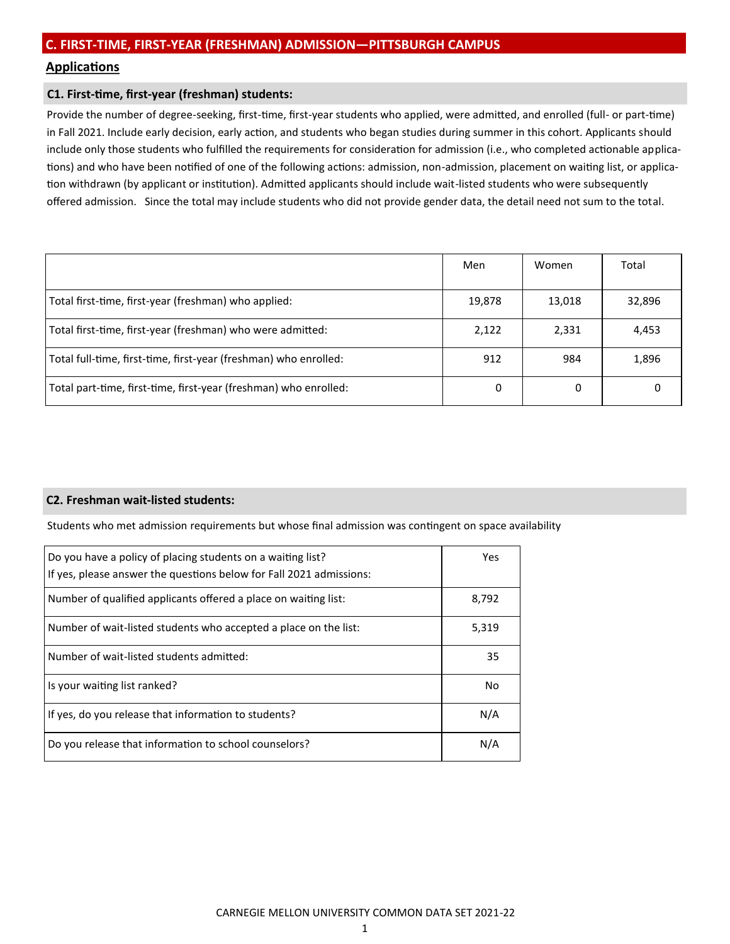# **Applications**

## **C1. First-time, first-year (freshman) students:**

Provide the number of degree-seeking, first-time, first-year students who applied, were admitted, and enrolled (full- or part-time) in Fall 2021. Include early decision, early action, and students who began studies during summer in this cohort. Applicants should include only those students who fulfilled the requirements for consideration for admission (i.e., who completed actionable applications) and who have been notified of one of the following actions: admission, non-admission, placement on waiting list, or application withdrawn (by applicant or institution). Admitted applicants should include wait-listed students who were subsequently offered admission. Since the total may include students who did not provide gender data, the detail need not sum to the total.

|                                                                  | Men    | Women  | Total  |
|------------------------------------------------------------------|--------|--------|--------|
| Total first-time, first-year (freshman) who applied:             | 19,878 | 13,018 | 32,896 |
| Total first-time, first-year (freshman) who were admitted:       | 2,122  | 2,331  | 4,453  |
| Total full-time, first-time, first-year (freshman) who enrolled: | 912    | 984    | 1,896  |
| Total part-time, first-time, first-year (freshman) who enrolled: | 0      | 0      |        |

#### **C2. Freshman wait-listed students:**

Students who met admission requirements but whose final admission was contingent on space availability

| Do you have a policy of placing students on a waiting list?<br>If yes, please answer the questions below for Fall 2021 admissions: | Yes   |
|------------------------------------------------------------------------------------------------------------------------------------|-------|
| Number of qualified applicants offered a place on waiting list:                                                                    | 8,792 |
| Number of wait-listed students who accepted a place on the list:                                                                   | 5,319 |
| Number of wait-listed students admitted:                                                                                           | 35    |
| Is your waiting list ranked?                                                                                                       | No    |
| If yes, do you release that information to students?                                                                               | N/A   |
| Do you release that information to school counselors?                                                                              | N/A   |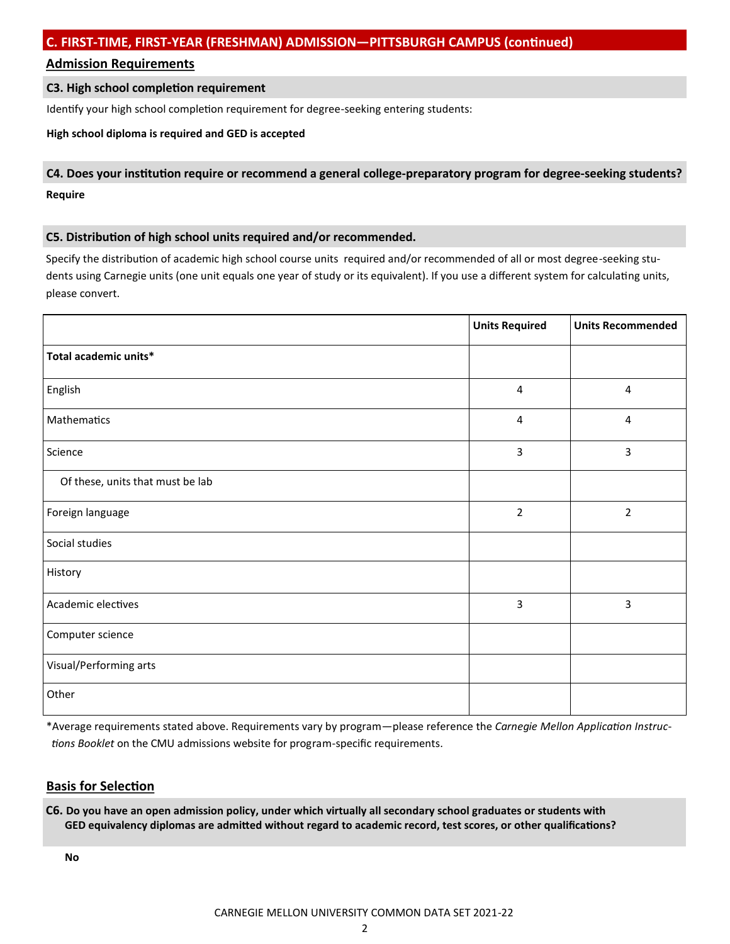# **Admission Requirements**

# **C3. High school completion requirement**

Identify your high school completion requirement for degree-seeking entering students:

## **High school diploma is required and GED is accepted**

# **C4. Does your institution require or recommend a general college-preparatory program for degree-seeking students? Require**

# **C5. Distribution of high school units required and/or recommended.**

Specify the distribution of academic high school course units required and/or recommended of all or most degree-seeking students using Carnegie units (one unit equals one year of study or its equivalent). If you use a different system for calculating units, please convert.

|                                  | <b>Units Required</b>   | <b>Units Recommended</b> |
|----------------------------------|-------------------------|--------------------------|
| Total academic units*            |                         |                          |
| English                          | 4                       | 4                        |
| Mathematics                      | $\overline{\mathbf{4}}$ | $\pmb{4}$                |
| Science                          | 3                       | 3                        |
| Of these, units that must be lab |                         |                          |
| Foreign language                 | $\overline{2}$          | $\overline{2}$           |
| Social studies                   |                         |                          |
| History                          |                         |                          |
| Academic electives               | 3                       | 3                        |
| Computer science                 |                         |                          |
| Visual/Performing arts           |                         |                          |
| Other                            |                         |                          |

\*Average requirements stated above. Requirements vary by program—please reference the *Carnegie Mellon Application Instructions Booklet* on the CMU admissions website for program-specific requirements.

# **Basis for Selection**

**C6. Do you have an open admission policy, under which virtually all secondary school graduates or students with GED equivalency diplomas are admitted without regard to academic record, test scores, or other qualifications?**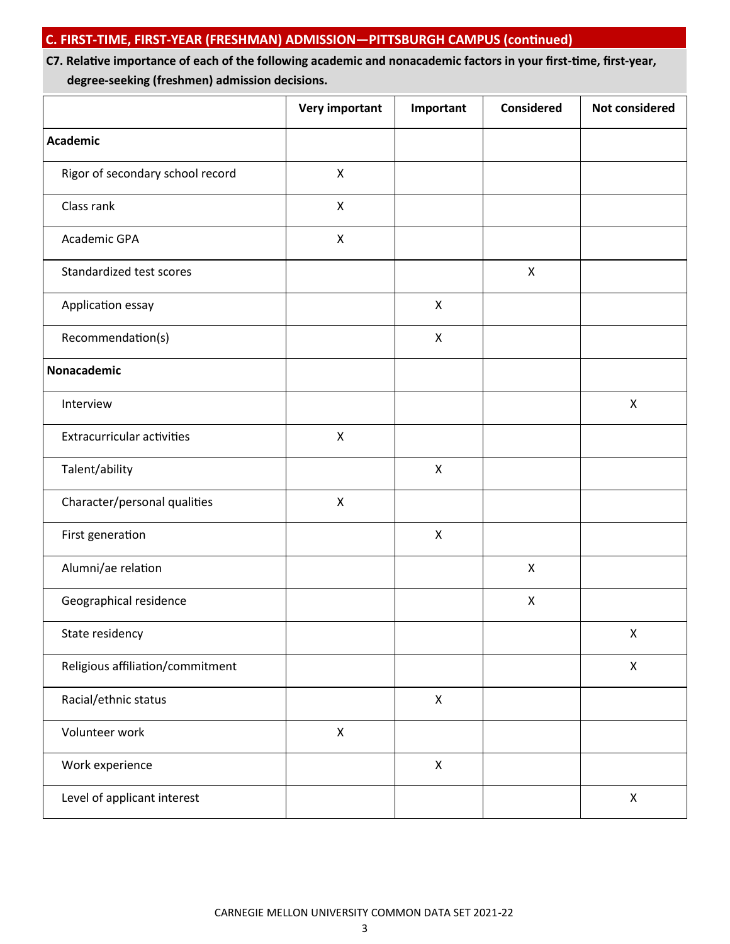# **C7. Relative importance of each of the following academic and nonacademic factors in your first-time, first-year, degree-seeking (freshmen) admission decisions.**

|                                   | <b>Very important</b> | Important          | <b>Considered</b>         | <b>Not considered</b> |
|-----------------------------------|-----------------------|--------------------|---------------------------|-----------------------|
| <b>Academic</b>                   |                       |                    |                           |                       |
| Rigor of secondary school record  | $\pmb{\mathsf{X}}$    |                    |                           |                       |
| Class rank                        | $\mathsf{X}$          |                    |                           |                       |
| Academic GPA                      | $\pmb{\times}$        |                    |                           |                       |
| Standardized test scores          |                       |                    | $\boldsymbol{\mathsf{X}}$ |                       |
| Application essay                 |                       | $\mathsf{X}$       |                           |                       |
| Recommendation(s)                 |                       | $\pmb{\times}$     |                           |                       |
| Nonacademic                       |                       |                    |                           |                       |
| Interview                         |                       |                    |                           | $\pmb{\times}$        |
| <b>Extracurricular activities</b> | $\mathsf{X}$          |                    |                           |                       |
| Talent/ability                    |                       | $\mathsf{X}$       |                           |                       |
| Character/personal qualities      | $\pmb{\times}$        |                    |                           |                       |
| First generation                  |                       | $\mathsf{X}$       |                           |                       |
| Alumni/ae relation                |                       |                    | $\boldsymbol{\mathsf{X}}$ |                       |
| Geographical residence            |                       |                    | X                         |                       |
| State residency                   |                       |                    |                           | X                     |
| Religious affiliation/commitment  |                       |                    |                           | $\pmb{\times}$        |
| Racial/ethnic status              |                       | $\pmb{\mathsf{X}}$ |                           |                       |
| Volunteer work                    | $\pmb{\mathsf{X}}$    |                    |                           |                       |
| Work experience                   |                       | X                  |                           |                       |
| Level of applicant interest       |                       |                    |                           | $\pmb{\times}$        |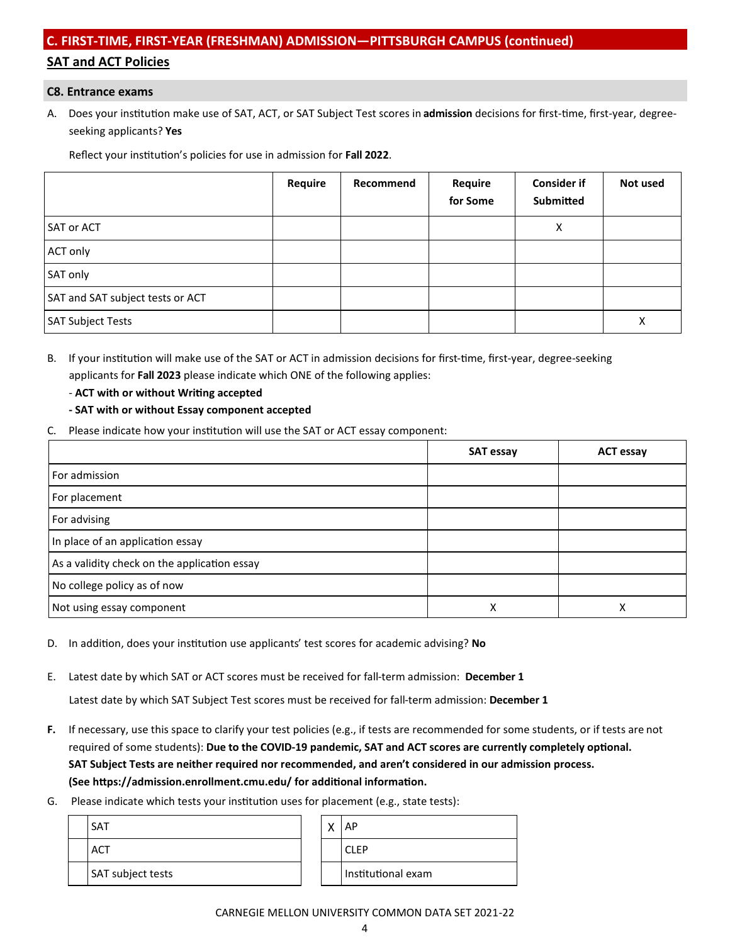# **C. FIRST-TIME, FIRST-YEAR (FRESHMAN) ADMISSION—PITTSBURGH CAMPUS (continued) SAT and ACT Policies**

#### **C8. Entrance exams**

A. Does your institution make use of SAT, ACT, or SAT Subject Test scores in **admission** decisions for first-time, first-year, degree seeking applicants? **Yes**

Reflect your institution's policies for use in admission for **Fall 2022**.

|                                  | Require | Recommend | Require<br>for Some | <b>Consider if</b><br>Submitted | Not used |
|----------------------------------|---------|-----------|---------------------|---------------------------------|----------|
| <b>SAT or ACT</b>                |         |           |                     | X                               |          |
| ACT only                         |         |           |                     |                                 |          |
| SAT only                         |         |           |                     |                                 |          |
| SAT and SAT subject tests or ACT |         |           |                     |                                 |          |
| <b>SAT Subject Tests</b>         |         |           |                     |                                 | х        |

- B. If your institution will make use of the SAT or ACT in admission decisions for first-time, first-year, degree-seeking applicants for **Fall 2023** please indicate which ONE of the following applies:
	- **ACT with or without Writing accepted**
	- **- SAT with or without Essay component accepted**
- C. Please indicate how your institution will use the SAT or ACT essay component:

|                                              | <b>SAT essay</b> | <b>ACT essay</b> |
|----------------------------------------------|------------------|------------------|
| For admission                                |                  |                  |
| For placement                                |                  |                  |
| For advising                                 |                  |                  |
| In place of an application essay             |                  |                  |
| As a validity check on the application essay |                  |                  |
| No college policy as of now                  |                  |                  |
| Not using essay component                    | Χ                | Λ                |

- D. In addition, does your institution use applicants' test scores for academic advising? **No**
- E. Latest date by which SAT or ACT scores must be received for fall-term admission: **December 1**

Latest date by which SAT Subject Test scores must be received for fall-term admission: **December 1**

- **F.** If necessary, use this space to clarify your test policies (e.g., if tests are recommended for some students, or if tests are not required of some students): **Due to the COVID-19 pandemic, SAT and ACT scores are currently completely optional. SAT Subject Tests are neither required nor recommended, and aren't considered in our admission process. (See https://admission.enrollment.cmu.edu/ for additional information.**
- G. Please indicate which tests your institution uses for placement (e.g., state tests):

| <b>SAT</b>        | ́ | ΑP                 |
|-------------------|---|--------------------|
| <b>ACT</b>        |   | <b>CLEP</b>        |
| SAT subject tests |   | Institutional exam |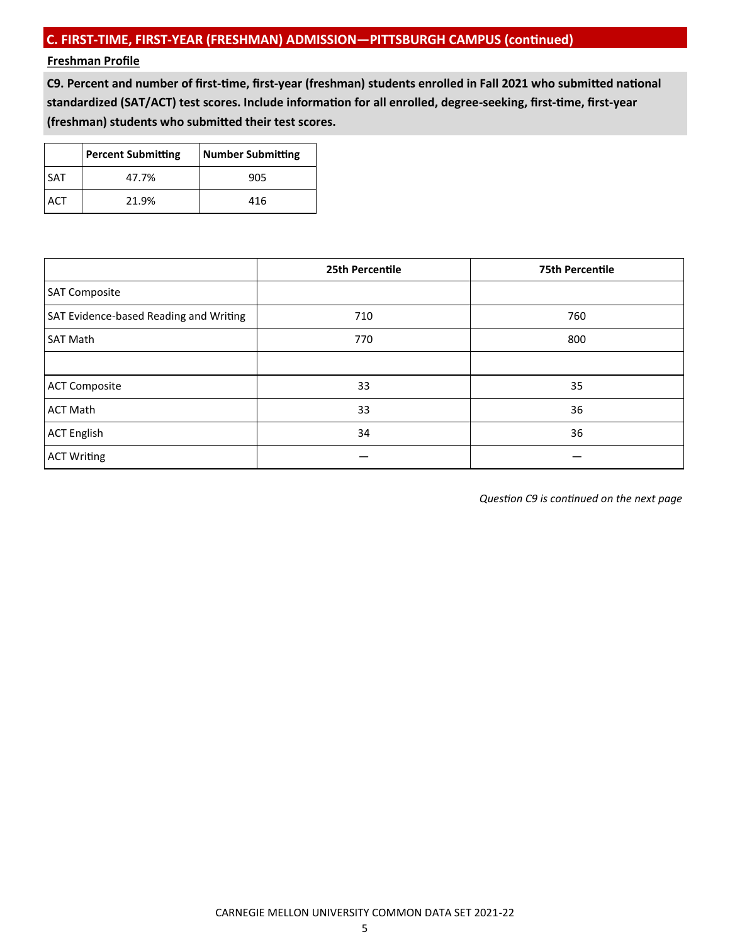# **Freshman Profile**

**C9. Percent and number of first-time, first-year (freshman) students enrolled in Fall 2021 who submitted national standardized (SAT/ACT) test scores. Include information for all enrolled, degree-seeking, first-time, first-year (freshman) students who submitted their test scores.**

|            | <b>Percent Submitting</b> | Number Submitting |
|------------|---------------------------|-------------------|
| <b>SAT</b> | 47.7%                     | 905               |
| ACI        | 21.9%                     | 416               |

|                                        | 25th Percentile | <b>75th Percentile</b> |
|----------------------------------------|-----------------|------------------------|
| <b>SAT Composite</b>                   |                 |                        |
| SAT Evidence-based Reading and Writing | 710             | 760                    |
| <b>SAT Math</b>                        | 770             | 800                    |
|                                        |                 |                        |
| <b>ACT Composite</b>                   | 33              | 35                     |
| <b>ACT Math</b>                        | 33              | 36                     |
| <b>ACT English</b>                     | 34              | 36                     |
| <b>ACT Writing</b>                     |                 |                        |

*Question C9 is continued on the next page*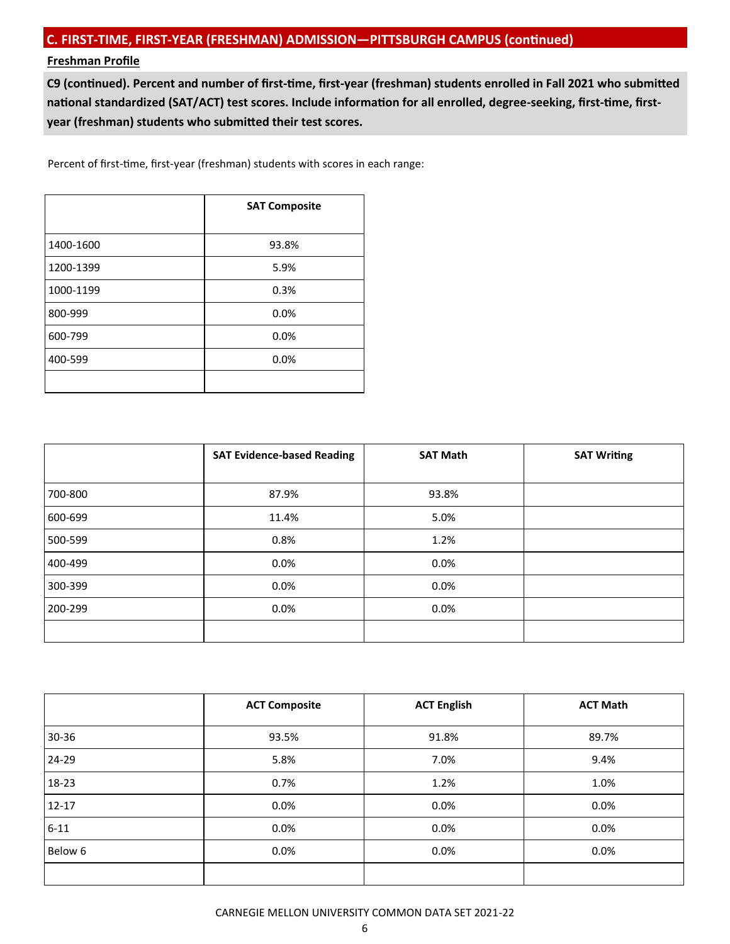# **Freshman Profile**

**C9 (continued). Percent and number of first-time, first-year (freshman) students enrolled in Fall 2021 who submitted national standardized (SAT/ACT) test scores. Include information for all enrolled, degree-seeking, first-time, firstyear (freshman) students who submitted their test scores.**

Percent of first-time, first-year (freshman) students with scores in each range:

|           | <b>SAT Composite</b> |  |
|-----------|----------------------|--|
| 1400-1600 | 93.8%                |  |
| 1200-1399 | 5.9%                 |  |
| 1000-1199 | 0.3%                 |  |
| 800-999   | 0.0%                 |  |
| 600-799   | 0.0%                 |  |
| 400-599   | 0.0%                 |  |
|           |                      |  |

|         | <b>SAT Evidence-based Reading</b> | <b>SAT Math</b> | <b>SAT Writing</b> |
|---------|-----------------------------------|-----------------|--------------------|
| 700-800 | 87.9%                             | 93.8%           |                    |
| 600-699 | 11.4%                             | 5.0%            |                    |
| 500-599 | 0.8%                              | 1.2%            |                    |
| 400-499 | 0.0%                              | $0.0\%$         |                    |
| 300-399 | 0.0%                              | 0.0%            |                    |
| 200-299 | 0.0%                              | $0.0\%$         |                    |
|         |                                   |                 |                    |

|           | <b>ACT Composite</b> | <b>ACT English</b> | <b>ACT Math</b> |
|-----------|----------------------|--------------------|-----------------|
| $30 - 36$ | 93.5%                | 91.8%              | 89.7%           |
| 24-29     | 5.8%                 | 7.0%               | 9.4%            |
| 18-23     | 0.7%                 | 1.2%               | 1.0%            |
| $12 - 17$ | $0.0\%$              | 0.0%               | 0.0%            |
| $6 - 11$  | 0.0%                 | 0.0%               | 0.0%            |
| Below 6   | $0.0\%$              | 0.0%               | 0.0%            |
|           |                      |                    |                 |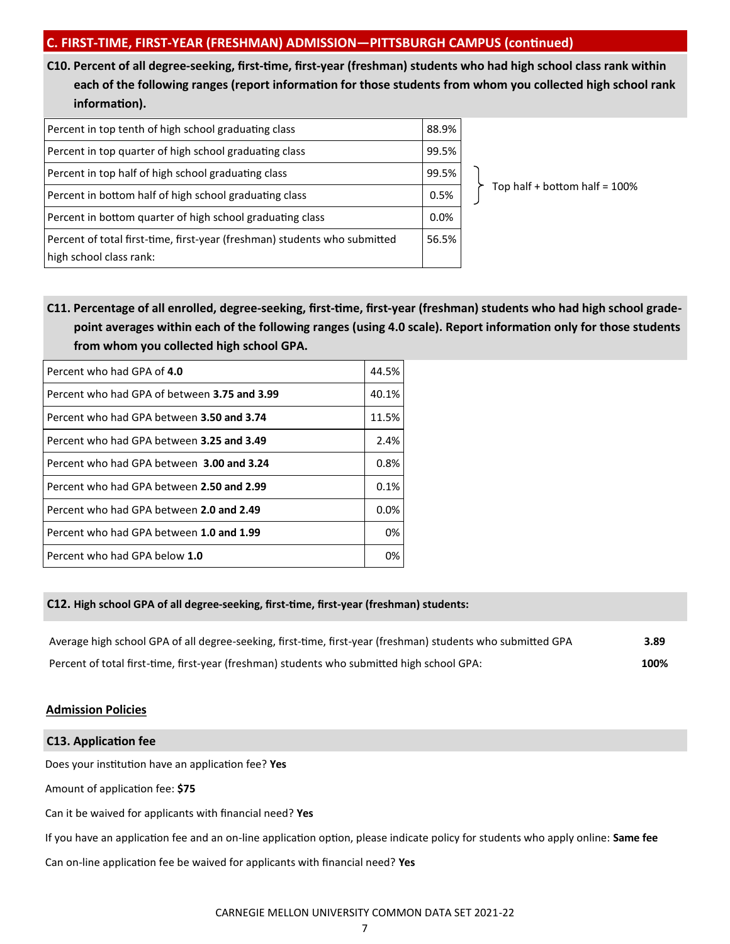**C10. Percent of all degree-seeking, first-time, first-year (freshman) students who had high school class rank within each of the following ranges (report information for those students from whom you collected high school rank information).**

| Percent in top tenth of high school graduating class                                                 | 88.9% |
|------------------------------------------------------------------------------------------------------|-------|
| Percent in top quarter of high school graduating class                                               | 99.5% |
| Percent in top half of high school graduating class                                                  | 99.5% |
| Percent in bottom half of high school graduating class                                               | 0.5%  |
| Percent in bottom quarter of high school graduating class                                            | 0.0%  |
| Percent of total first-time, first-year (freshman) students who submitted<br>high school class rank: | 56.5% |

Top half + bottom half =  $100\%$ 

**C11. Percentage of all enrolled, degree-seeking, first-time, first-year (freshman) students who had high school grade point averages within each of the following ranges (using 4.0 scale). Report information only for those students from whom you collected high school GPA.**

| Percent who had GPA of 4.0                   | 44.5% |
|----------------------------------------------|-------|
| Percent who had GPA of between 3.75 and 3.99 | 40.1% |
| Percent who had GPA between 3.50 and 3.74    | 11.5% |
| Percent who had GPA between 3.25 and 3.49    | 2.4%  |
| Percent who had GPA between 3.00 and 3.24    | 0.8%  |
| Percent who had GPA between 2.50 and 2.99    | 0.1%  |
| Percent who had GPA between 2.0 and 2.49     | 0.0%  |
| Percent who had GPA between 1.0 and 1.99     | 0%    |
| Percent who had GPA below 1.0                | 0%    |

# **C12. High school GPA of all degree-seeking, first-time, first-year (freshman) students:**

| Average high school GPA of all degree-seeking, first-time, first-year (freshman) students who submitted GPA | 3.89 |
|-------------------------------------------------------------------------------------------------------------|------|
| Percent of total first-time, first-year (freshman) students who submitted high school GPA:                  | 100% |

# **Admission Policies**

# **C13. Application fee** Does your institution have an application fee? **Yes** Amount of application fee: **\$75** Can it be waived for applicants with financial need? **Yes** If you have an application fee and an on-line application option, please indicate policy for students who apply online: **Same fee** Can on-line application fee be waived for applicants with financial need? **Yes**